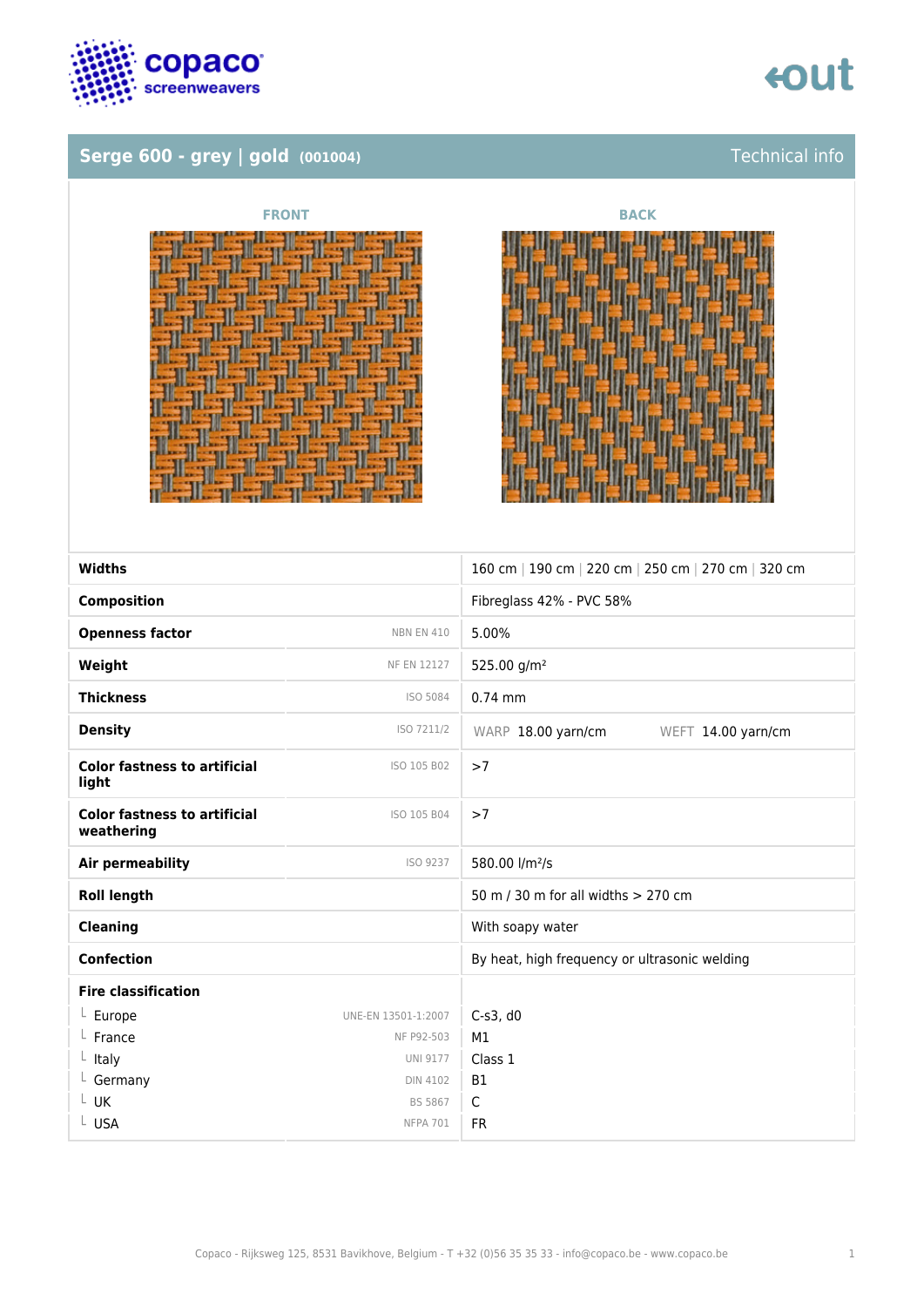

## **Serge 600 - grey | gold (001004)** Technical info







| <b>Widths</b>                                     |                     | 160 cm   190 cm   220 cm   250 cm   270 cm   320 cm |
|---------------------------------------------------|---------------------|-----------------------------------------------------|
| <b>Composition</b>                                |                     | Fibreglass 42% - PVC 58%                            |
| <b>Openness factor</b>                            | <b>NBN EN 410</b>   | 5.00%                                               |
| Weight                                            | <b>NF EN 12127</b>  | 525.00 g/m <sup>2</sup>                             |
| <b>Thickness</b>                                  | ISO 5084            | $0.74$ mm                                           |
| <b>Density</b>                                    | ISO 7211/2          | WARP 18.00 yarn/cm<br>WEFT 14.00 yarn/cm            |
| <b>Color fastness to artificial</b><br>light      | ISO 105 B02         | >7                                                  |
| <b>Color fastness to artificial</b><br>weathering | ISO 105 B04         | >7                                                  |
| <b>Air permeability</b>                           | ISO 9237            | 580.00 l/m <sup>2</sup> /s                          |
| <b>Roll length</b>                                |                     | 50 m / 30 m for all widths $> 270$ cm               |
| <b>Cleaning</b>                                   |                     | With soapy water                                    |
| <b>Confection</b>                                 |                     | By heat, high frequency or ultrasonic welding       |
| <b>Fire classification</b>                        |                     |                                                     |
| $L$ Europe                                        | UNE-EN 13501-1:2007 | $C-s3$ , d $0$                                      |
| France                                            | NF P92-503          | M1                                                  |
| $L$ Italy                                         | <b>UNI 9177</b>     | Class 1                                             |
| $L$ Germany                                       | <b>DIN 4102</b>     | <b>B1</b>                                           |
| L UK                                              | <b>BS 5867</b>      | C                                                   |
| L USA                                             | <b>NFPA 701</b>     | <b>FR</b>                                           |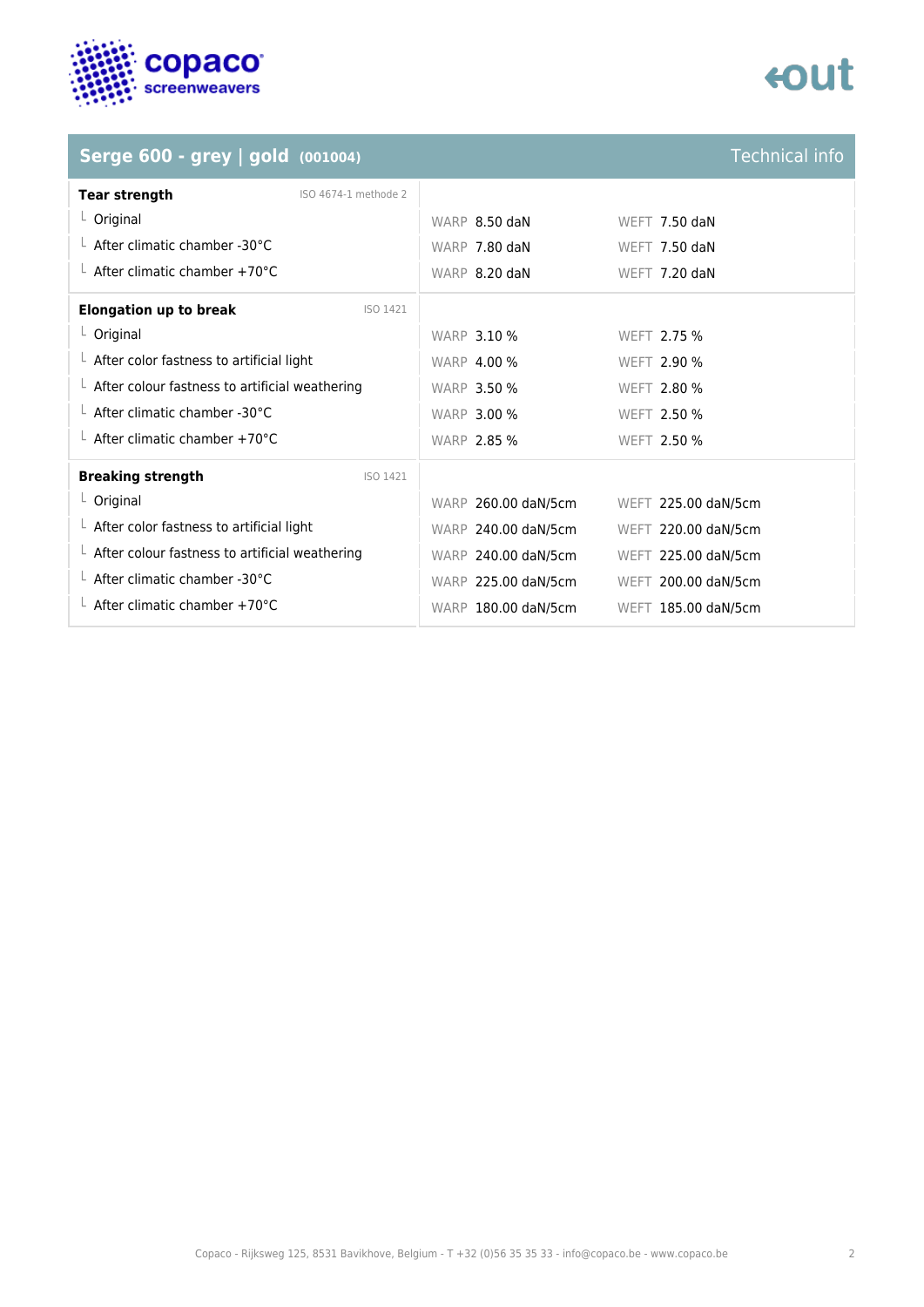

# tout

| Serge 600 - grey   gold (001004)                       |                      |                     | <b>Technical info</b> |
|--------------------------------------------------------|----------------------|---------------------|-----------------------|
| <b>Tear strength</b>                                   | ISO 4674-1 methode 2 |                     |                       |
| $L$ Original                                           |                      | WARP 8.50 daN       | WEFT 7.50 daN         |
| $\perp$ After climatic chamber -30°C                   |                      | WARP 7.80 daN       | <b>WEFT 7.50 daN</b>  |
| $\perp$ After climatic chamber +70°C                   |                      | WARP 8.20 daN       | WEFT 7.20 daN         |
| <b>Elongation up to break</b>                          | ISO 1421             |                     |                       |
| $L$ Original                                           |                      | <b>WARP 3.10 %</b>  | <b>WEFT 2.75 %</b>    |
| $\perp$ After color fastness to artificial light       |                      | <b>WARP 4.00 %</b>  | <b>WEFT 2.90 %</b>    |
| $\perp$ After colour fastness to artificial weathering |                      | <b>WARP 3.50 %</b>  | <b>WEFT 2.80 %</b>    |
| $\perp$ After climatic chamber -30°C                   |                      | <b>WARP 3.00 %</b>  | <b>WEFT 2.50 %</b>    |
| $\perp$ After climatic chamber +70°C                   |                      | <b>WARP 2.85 %</b>  | <b>WEFT 2.50 %</b>    |
| <b>Breaking strength</b>                               | ISO 1421             |                     |                       |
| $L$ Original                                           |                      | WARP 260.00 daN/5cm | WEFT 225.00 daN/5cm   |
| $\perp$ After color fastness to artificial light       |                      | WARP 240.00 daN/5cm | WEFT 220.00 daN/5cm   |
| $\perp$ After colour fastness to artificial weathering |                      | WARP 240.00 daN/5cm | WEFT 225.00 daN/5cm   |
| $\perp$ After climatic chamber -30°C                   |                      | WARP 225.00 daN/5cm | WEFT 200.00 daN/5cm   |
| $\perp$ After climatic chamber +70°C                   |                      | WARP 180.00 daN/5cm | WEFT 185.00 daN/5cm   |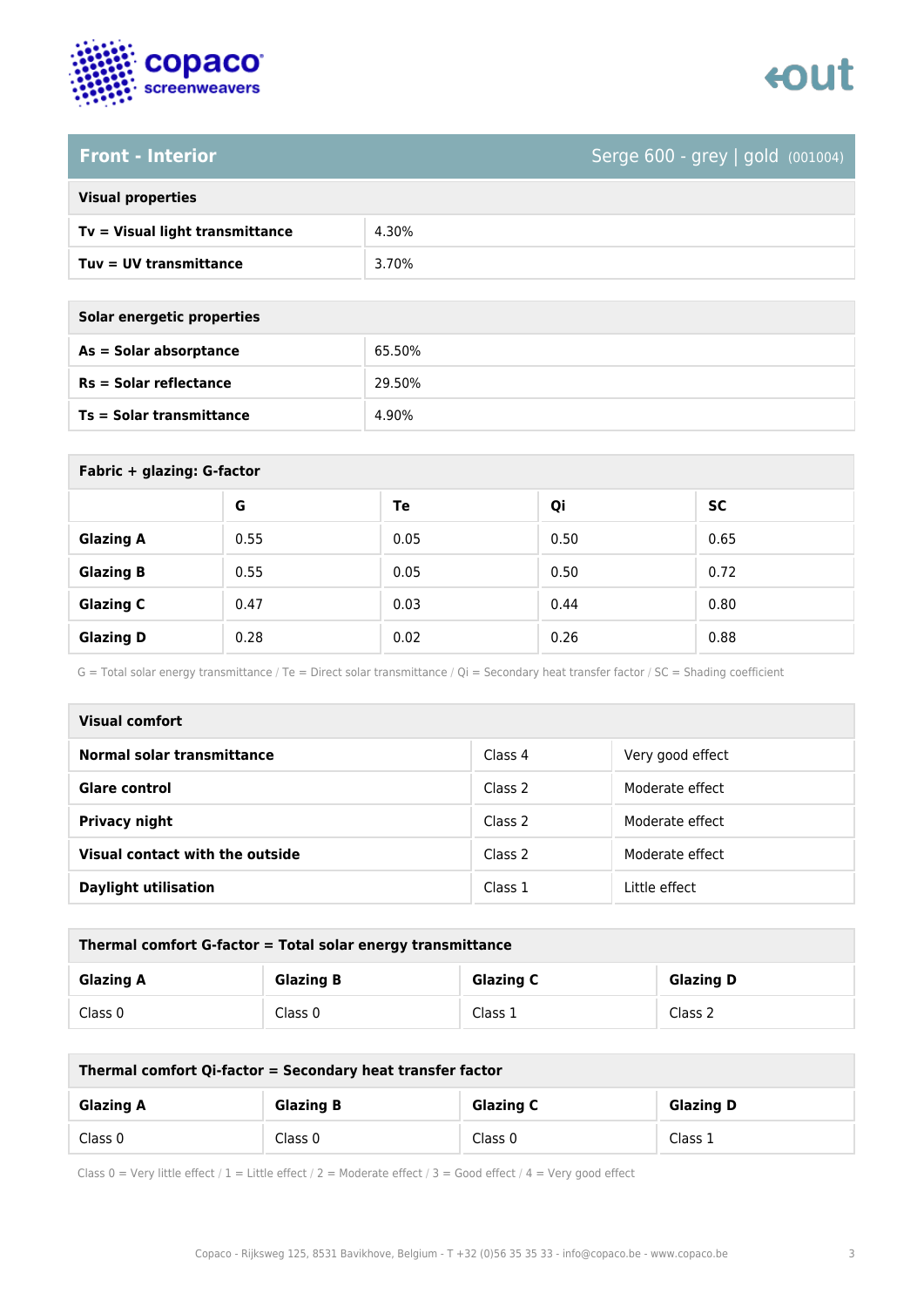

### **Front - Interior** Serge 600 - grey | gold (001004)

| <b>Visual properties</b> |  |
|--------------------------|--|
|                          |  |

| Tv = Visual light transmittance | 4.30% |
|---------------------------------|-------|
| Tuv = UV transmittance          | 3.70% |

**As = Solar absorptance** 65.50%

**Rs = Solar reflectance** 29.50%

| Solar energetic properties      |        |
|---------------------------------|--------|
| As = Solar absorptance          | 65.50% |
| $Rs = Solar$ reflectance        | 29.50% |
| <b>Ts = Solar transmittance</b> | 4.90%  |

| Fabric + glazing: G-factor |      |      |      |           |
|----------------------------|------|------|------|-----------|
|                            | G    | Te   | Qi   | <b>SC</b> |
| <b>Glazing A</b>           | 0.55 | 0.05 | 0.50 | 0.65      |
| <b>Glazing B</b>           | 0.55 | 0.05 | 0.50 | 0.72      |
| <b>Glazing C</b>           | 0.47 | 0.03 | 0.44 | 0.80      |
| <b>Glazing D</b>           | 0.28 | 0.02 | 0.26 | 0.88      |

G = Total solar energy transmittance / Te = Direct solar transmittance / Qi = Secondary heat transfer factor / SC = Shading coefficient

| Visual comfort                  |         |                  |
|---------------------------------|---------|------------------|
| Normal solar transmittance      | Class 4 | Very good effect |
| Glare control                   | Class 2 | Moderate effect  |
| <b>Privacy night</b>            | Class 2 | Moderate effect  |
| Visual contact with the outside | Class 2 | Moderate effect  |
| <b>Daylight utilisation</b>     | Class 1 | Little effect    |

| Thermal comfort G-factor = Total solar energy transmittance |                  |                  |                  |
|-------------------------------------------------------------|------------------|------------------|------------------|
| <b>Glazing A</b>                                            | <b>Glazing B</b> | <b>Glazing C</b> | <b>Glazing D</b> |
| Class 0                                                     | Class 0          | Class 1          | Class 2          |

| Thermal comfort Qi-factor = Secondary heat transfer factor |                  |                  |                  |
|------------------------------------------------------------|------------------|------------------|------------------|
| <b>Glazing A</b>                                           | <b>Glazing B</b> | <b>Glazing C</b> | <b>Glazing D</b> |
| Class 0                                                    | Class 0          | Class 0          | Class 1          |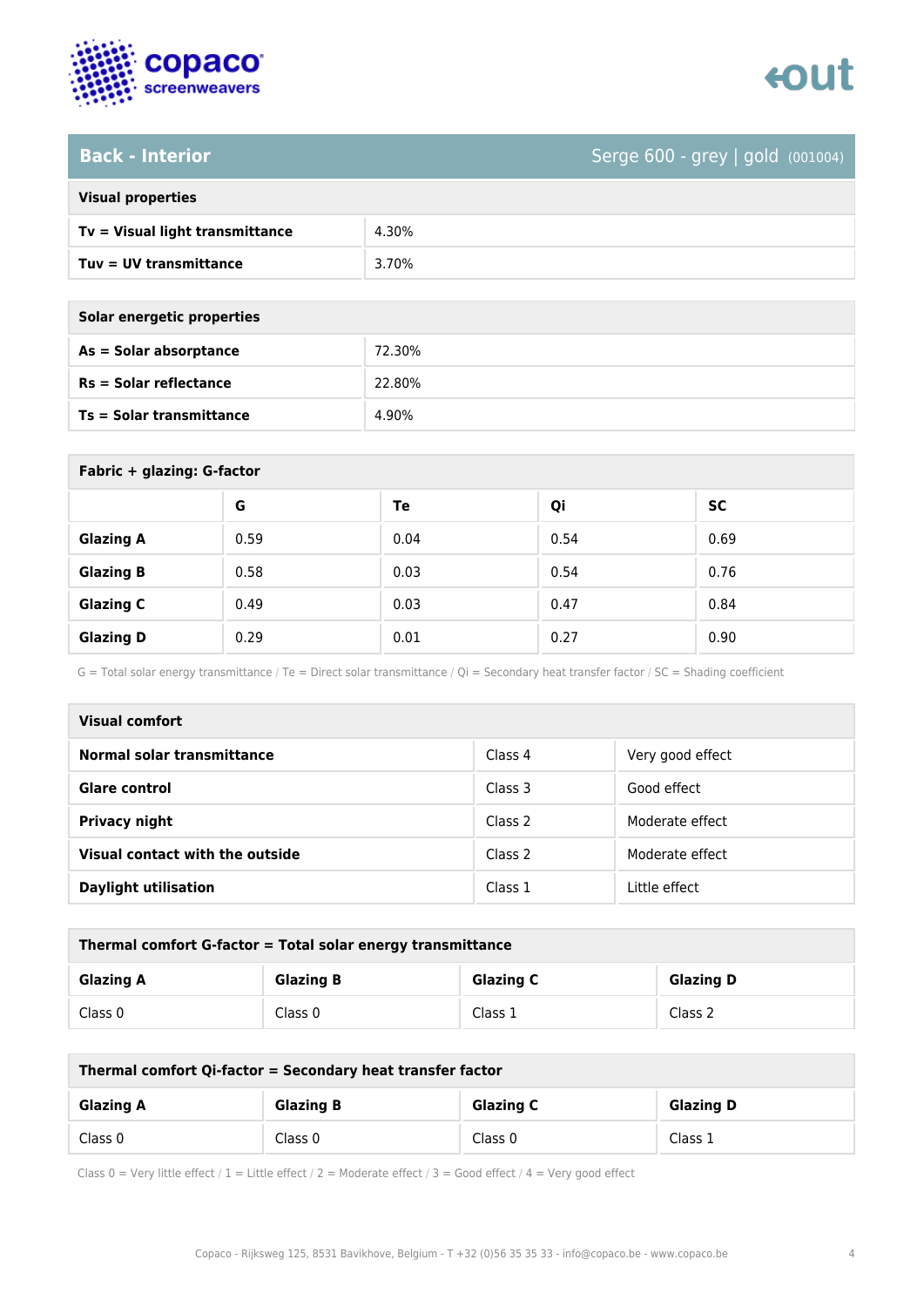

### **Back - Interior** Serge 600 - grey | gold (001004)

| <b>Visual properties</b> |  |
|--------------------------|--|
|                          |  |

| Tv = Visual light transmittance | 4.30% |
|---------------------------------|-------|
| Tuv = UV transmittance          | 3.70% |

**As = Solar absorptance** 72.30%

**Rs = Solar reflectance** 22.80%

| Solar energetic properties |
|----------------------------|
| As = Solar absorptance     |
| $Rs = Solar$ reflectance   |

**Ts = Solar transmittance** 4.90%

| Fabric + glazing: G-factor |      |      |      |           |  |
|----------------------------|------|------|------|-----------|--|
|                            | G    | Te   | Qi   | <b>SC</b> |  |
| <b>Glazing A</b>           | 0.59 | 0.04 | 0.54 | 0.69      |  |
| <b>Glazing B</b>           | 0.58 | 0.03 | 0.54 | 0.76      |  |
| <b>Glazing C</b>           | 0.49 | 0.03 | 0.47 | 0.84      |  |
| <b>Glazing D</b>           | 0.29 | 0.01 | 0.27 | 0.90      |  |

G = Total solar energy transmittance / Te = Direct solar transmittance / Qi = Secondary heat transfer factor / SC = Shading coefficient

| Visual comfort                  |         |                  |
|---------------------------------|---------|------------------|
| Normal solar transmittance      | Class 4 | Very good effect |
| <b>Glare control</b>            | Class 3 | Good effect      |
| <b>Privacy night</b>            | Class 2 | Moderate effect  |
| Visual contact with the outside | Class 2 | Moderate effect  |
| <b>Daylight utilisation</b>     | Class 1 | Little effect    |

| Thermal comfort G-factor = Total solar energy transmittance |                  |                  |                  |  |
|-------------------------------------------------------------|------------------|------------------|------------------|--|
| <b>Glazing A</b>                                            | <b>Glazing B</b> | <b>Glazing C</b> | <b>Glazing D</b> |  |
| Class 0                                                     | Class 0          | Class 1          | Class 2          |  |

| Thermal comfort Qi-factor = Secondary heat transfer factor |                  |                  |                  |  |
|------------------------------------------------------------|------------------|------------------|------------------|--|
| <b>Glazing A</b>                                           | <b>Glazing B</b> | <b>Glazing C</b> | <b>Glazing D</b> |  |
| Class 0                                                    | Class 0          | Class 0          | Class 1          |  |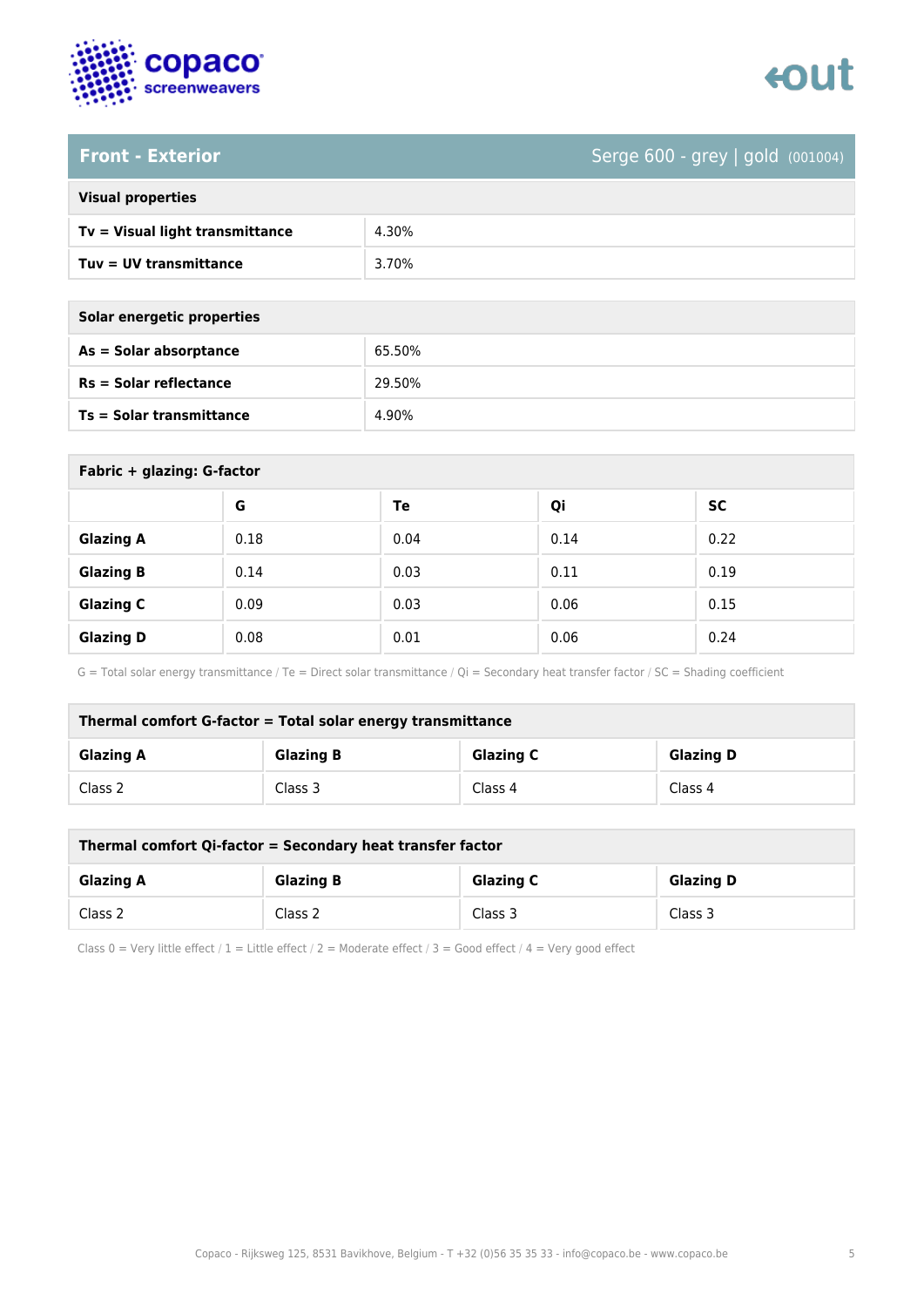

# tout

### **Front - Exterior** Serge 600 - grey | gold (001004)

| <b>Visual properties</b> |  |  |
|--------------------------|--|--|
|                          |  |  |

| Tv = Visual light transmittance | 4.30% |
|---------------------------------|-------|
| Tuv = UV transmittance          | 3.70% |

**As = Solar absorptance** 65.50%

**Rs = Solar reflectance** 29.50%

**Ts = Solar transmittance** 4.90%

| Solar energetic properties      |
|---------------------------------|
| As = Solar absorptance          |
| $Rs = Solar$ reflectance        |
| <b>Ts = Solar transmittance</b> |

| Fabric + glazing: G-factor |      |      |      |           |
|----------------------------|------|------|------|-----------|
|                            | G    | Te   | Qi   | <b>SC</b> |
| <b>Glazing A</b>           | 0.18 | 0.04 | 0.14 | 0.22      |
| <b>Glazing B</b>           | 0.14 | 0.03 | 0.11 | 0.19      |
| <b>Glazing C</b>           | 0.09 | 0.03 | 0.06 | 0.15      |
| <b>Glazing D</b>           | 0.08 | 0.01 | 0.06 | 0.24      |

G = Total solar energy transmittance / Te = Direct solar transmittance / Qi = Secondary heat transfer factor / SC = Shading coefficient

| Thermal comfort G-factor = Total solar energy transmittance |                  |                  |                  |  |
|-------------------------------------------------------------|------------------|------------------|------------------|--|
| <b>Glazing A</b>                                            | <b>Glazing B</b> | <b>Glazing C</b> | <b>Glazing D</b> |  |
| Class 2                                                     | Class 3          | Class 4          | Class 4          |  |

| Thermal comfort Qi-factor = Secondary heat transfer factor |                  |                  |                  |  |
|------------------------------------------------------------|------------------|------------------|------------------|--|
| <b>Glazing A</b>                                           | <b>Glazing B</b> | <b>Glazing C</b> | <b>Glazing D</b> |  |
| Class 2                                                    | Class 2          | Class 3          | Class 3          |  |